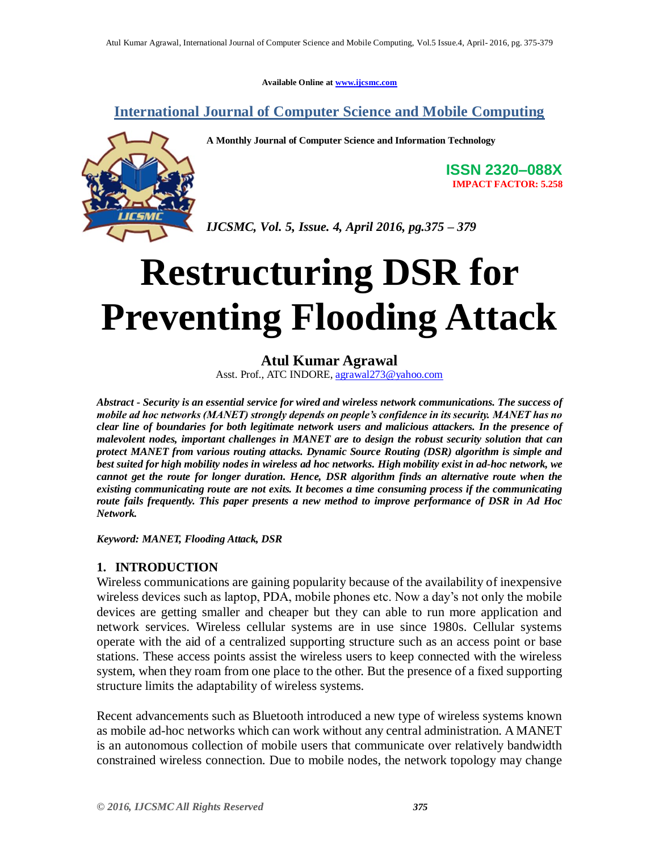**Available Online at [www.ijcsmc.com](http://www.ijcsmc.com/)**

**International Journal of Computer Science and Mobile Computing**

**A Monthly Journal of Computer Science and Information Technology**



**ISSN 2320–088X IMPACT FACTOR: 5.258**

*IJCSMC, Vol. 5, Issue. 4, April 2016, pg.375 – 379*

# **Restructuring DSR for Preventing Flooding Attack**

# **Atul Kumar Agrawal**

Asst. Prof., ATC INDORE[, agrawal273@yahoo.com](mailto:agrawal273@yahoo.com)

*Abstract - Security is an essential service for wired and wireless network communications. The success of mobile ad hoc networks (MANET) strongly depends on people's confidence in its security. MANET has no clear line of boundaries for both legitimate network users and malicious attackers. In the presence of malevolent nodes, important challenges in MANET are to design the robust security solution that can protect MANET from various routing attacks. Dynamic Source Routing (DSR) algorithm is simple and best suited for high mobility nodes in wireless ad hoc networks. High mobility exist in ad-hoc network, we cannot get the route for longer duration. Hence, DSR algorithm finds an alternative route when the existing communicating route are not exits. It becomes a time consuming process if the communicating route fails frequently. This paper presents a new method to improve performance of DSR in Ad Hoc Network.* 

*Keyword: MANET, Flooding Attack, DSR* 

# **1. INTRODUCTION**

Wireless communications are gaining popularity because of the availability of inexpensive wireless devices such as laptop, PDA, mobile phones etc. Now a day"s not only the mobile devices are getting smaller and cheaper but they can able to run more application and network services. Wireless cellular systems are in use since 1980s. Cellular systems operate with the aid of a centralized supporting structure such as an access point or base stations. These access points assist the wireless users to keep connected with the wireless system, when they roam from one place to the other. But the presence of a fixed supporting structure limits the adaptability of wireless systems.

Recent advancements such as Bluetooth introduced a new type of wireless systems known as mobile ad-hoc networks which can work without any central administration. A MANET is an autonomous collection of mobile users that communicate over relatively bandwidth constrained wireless connection. Due to mobile nodes, the network topology may change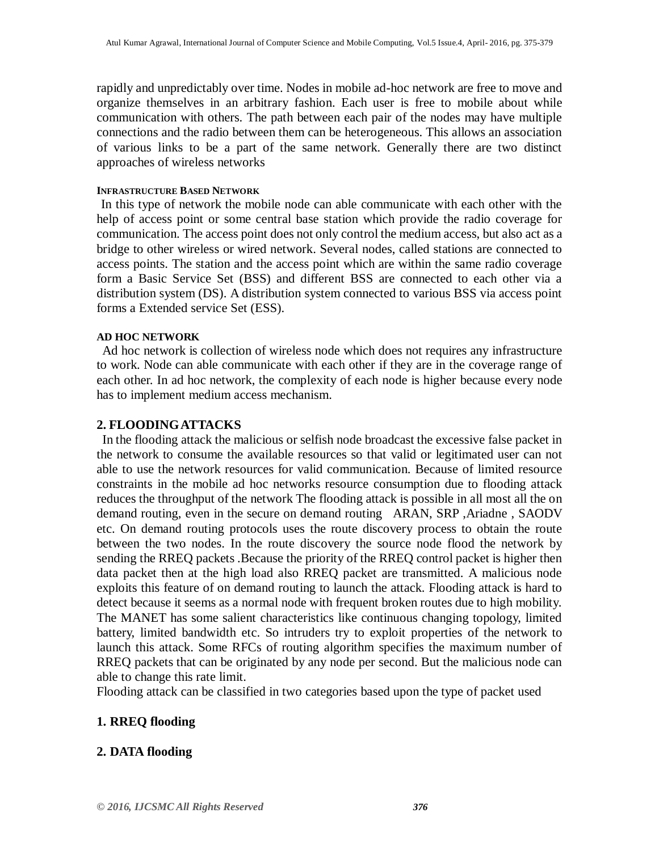rapidly and unpredictably over time. Nodes in mobile ad-hoc network are free to move and organize themselves in an arbitrary fashion. Each user is free to mobile about while communication with others. The path between each pair of the nodes may have multiple connections and the radio between them can be heterogeneous. This allows an association of various links to be a part of the same network. Generally there are two distinct approaches of wireless networks

#### **INFRASTRUCTURE BASED NETWORK**

In this type of network the mobile node can able communicate with each other with the help of access point or some central base station which provide the radio coverage for communication. The access point does not only control the medium access, but also act as a bridge to other wireless or wired network. Several nodes, called stations are connected to access points. The station and the access point which are within the same radio coverage form a Basic Service Set (BSS) and different BSS are connected to each other via a distribution system (DS). A distribution system connected to various BSS via access point forms a Extended service Set (ESS).

#### **AD HOC NETWORK**

Ad hoc network is collection of wireless node which does not requires any infrastructure to work. Node can able communicate with each other if they are in the coverage range of each other. In ad hoc network, the complexity of each node is higher because every node has to implement medium access mechanism.

### **2. FLOODINGATTACKS**

In the flooding attack the malicious or selfish node broadcast the excessive false packet in the network to consume the available resources so that valid or legitimated user can not able to use the network resources for valid communication. Because of limited resource constraints in the mobile ad hoc networks resource consumption due to flooding attack reduces the throughput of the network The flooding attack is possible in all most all the on demand routing, even in the secure on demand routing ARAN, SRP ,Ariadne , SAODV etc. On demand routing protocols uses the route discovery process to obtain the route between the two nodes. In the route discovery the source node flood the network by sending the RREQ packets .Because the priority of the RREQ control packet is higher then data packet then at the high load also RREQ packet are transmitted. A malicious node exploits this feature of on demand routing to launch the attack. Flooding attack is hard to detect because it seems as a normal node with frequent broken routes due to high mobility. The MANET has some salient characteristics like continuous changing topology, limited battery, limited bandwidth etc. So intruders try to exploit properties of the network to launch this attack. Some RFCs of routing algorithm specifies the maximum number of RREQ packets that can be originated by any node per second. But the malicious node can able to change this rate limit.

Flooding attack can be classified in two categories based upon the type of packet used

# **1. RREQ flooding**

# **2. DATA flooding**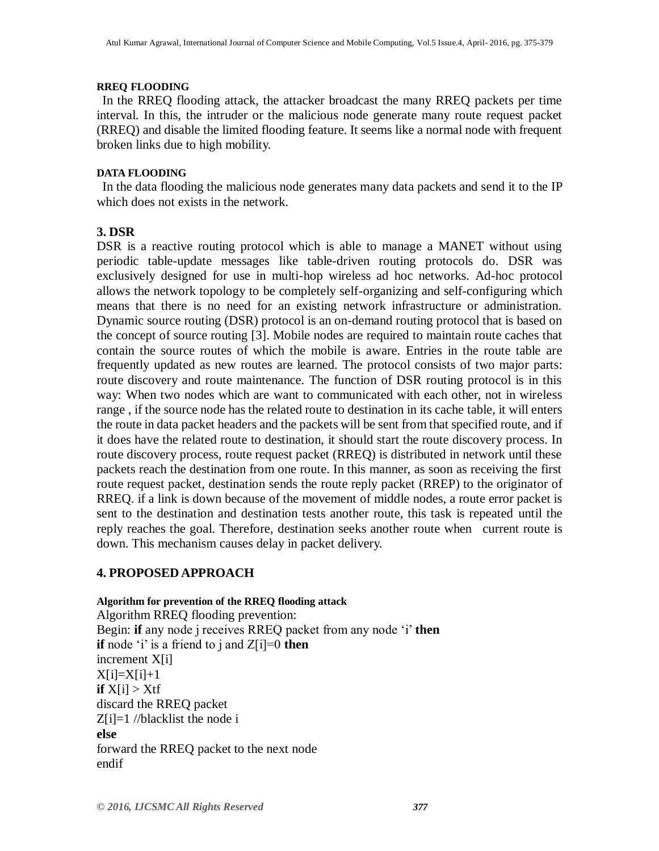#### **RREQ FLOODING**

In the RREQ flooding attack, the attacker broadcast the many RREQ packets per time interval. In this, the intruder or the malicious node generate many route request packet (RREQ) and disable the limited flooding feature. It seems like a normal node with frequent broken links due to high mobility.

#### **DATA FLOODING**

In the data flooding the malicious node generates many data packets and send it to the IP which does not exists in the network.

# **3. DSR**

DSR is a reactive routing protocol which is able to manage a MANET without using periodic table-update messages like table-driven routing protocols do. DSR was exclusively designed for use in multi-hop wireless ad hoc networks. Ad-hoc protocol allows the network topology to be completely self-organizing and self-configuring which means that there is no need for an existing network infrastructure or administration. Dynamic source routing (DSR) protocol is an on-demand routing protocol that is based on the concept of source routing [3]. Mobile nodes are required to maintain route caches that contain the source routes of which the mobile is aware. Entries in the route table are frequently updated as new routes are learned. The protocol consists of two major parts: route discovery and route maintenance. The function of DSR routing protocol is in this way: When two nodes which are want to communicated with each other, not in wireless range , if the source node has the related route to destination in its cache table, it will enters the route in data packet headers and the packets will be sent from that specified route, and if it does have the related route to destination, it should start the route discovery process. In route discovery process, route request packet (RREQ) is distributed in network until these packets reach the destination from one route. In this manner, as soon as receiving the first route request packet, destination sends the route reply packet (RREP) to the originator of RREQ. if a link is down because of the movement of middle nodes, a route error packet is sent to the destination and destination tests another route, this task is repeated until the reply reaches the goal. Therefore, destination seeks another route when current route is down. This mechanism causes delay in packet delivery.

# **4. PROPOSED APPROACH**

#### **Algorithm for prevention of the RREQ flooding attack**

Algorithm RREQ flooding prevention: Begin: **if** any node j receives RREQ packet from any node "i" **then if** node 'i' is a friend to j and  $Z[i]=0$  **then** increment X[i]  $X[i]=X[i]+1$  $\mathbf{i} \mathbf{f} \mathbf{X}[\mathbf{i}] > \mathbf{X} \mathbf{t}$ discard the RREQ packet  $Z[i]=1$  //blacklist the node i **else** forward the RREQ packet to the next node endif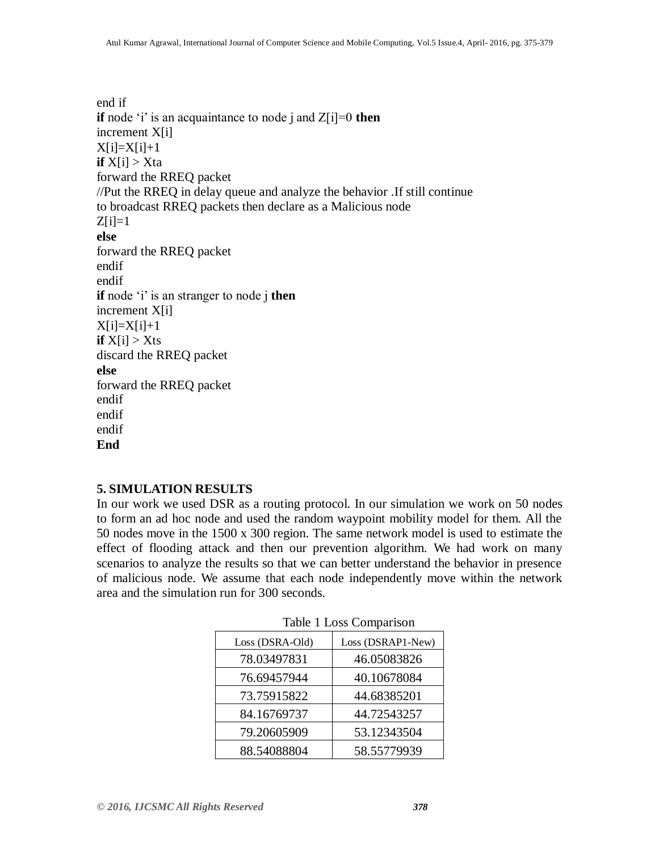end if **if** node  $i'$  is an acquaintance to node j and  $Z[i]=0$  **then** increment X[i]  $X[i]=X[i]+1$ **if**  $X[i] > Xta$ forward the RREQ packet //Put the RREQ in delay queue and analyze the behavior .If still continue to broadcast RREQ packets then declare as a Malicious node  $Z[i]=1$ **else** forward the RREQ packet endif endif **if** node 'i' is an stranger to node j **then** increment X[i]  $X[i]=X[i]+1$ **if**  $X[i] > Xts$ discard the RREQ packet **else** forward the RREQ packet endif endif endif **End**

#### **5. SIMULATION RESULTS**

In our work we used DSR as a routing protocol. In our simulation we work on 50 nodes to form an ad hoc node and used the random waypoint mobility model for them. All the 50 nodes move in the 1500 x 300 region. The same network model is used to estimate the effect of flooding attack and then our prevention algorithm. We had work on many scenarios to analyze the results so that we can better understand the behavior in presence of malicious node. We assume that each node independently move within the network area and the simulation run for 300 seconds.

| Loss (DSRA-Old) | Loss (DSRAP1-New) |
|-----------------|-------------------|
| 78.03497831     | 46.05083826       |
| 76.69457944     | 40.10678084       |
| 73.75915822     | 44.68385201       |
| 84.16769737     | 44.72543257       |
| 79.20605909     | 53.12343504       |
| 88.54088804     | 58.55779939       |

Table 1 Loss Comparison